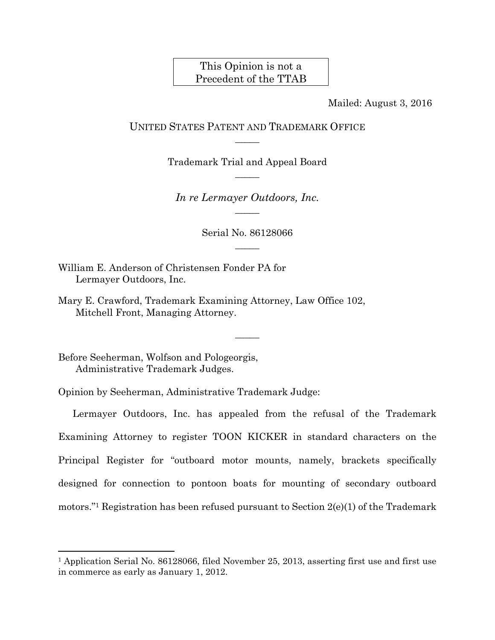## This Opinion is not a Precedent of the TTAB

Mailed: August 3, 2016

## UNITED STATES PATENT AND TRADEMARK OFFICE  $\overline{\phantom{a}}$

Trademark Trial and Appeal Board  $\overline{\phantom{a}}$ 

*In re Lermayer Outdoors, Inc.*   $\overline{\phantom{a}}$ 

> Serial No. 86128066  $\overline{\phantom{a}}$

> > $\overline{\phantom{a}}$

William E. Anderson of Christensen Fonder PA for Lermayer Outdoors, Inc.

Mary E. Crawford, Trademark Examining Attorney, Law Office 102, Mitchell Front, Managing Attorney.

Before Seeherman, Wolfson and Pologeorgis, Administrative Trademark Judges.

 $\overline{a}$ 

Opinion by Seeherman, Administrative Trademark Judge:

Lermayer Outdoors, Inc. has appealed from the refusal of the Trademark Examining Attorney to register TOON KICKER in standard characters on the Principal Register for "outboard motor mounts, namely, brackets specifically designed for connection to pontoon boats for mounting of secondary outboard motors."<sup>1</sup> Registration has been refused pursuant to Section  $2(e)(1)$  of the Trademark

<sup>1</sup> Application Serial No. 86128066, filed November 25, 2013, asserting first use and first use in commerce as early as January 1, 2012.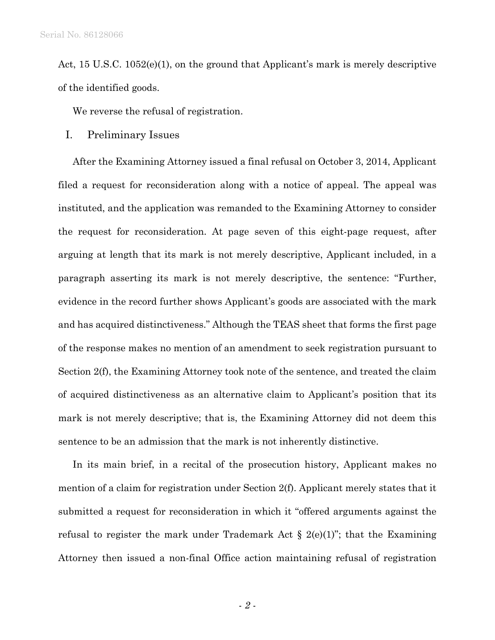Act, 15 U.S.C. 1052(e)(1), on the ground that Applicant's mark is merely descriptive of the identified goods.

We reverse the refusal of registration.

I. Preliminary Issues

After the Examining Attorney issued a final refusal on October 3, 2014, Applicant filed a request for reconsideration along with a notice of appeal. The appeal was instituted, and the application was remanded to the Examining Attorney to consider the request for reconsideration. At page seven of this eight-page request, after arguing at length that its mark is not merely descriptive, Applicant included, in a paragraph asserting its mark is not merely descriptive, the sentence: "Further, evidence in the record further shows Applicant's goods are associated with the mark and has acquired distinctiveness." Although the TEAS sheet that forms the first page of the response makes no mention of an amendment to seek registration pursuant to Section 2(f), the Examining Attorney took note of the sentence, and treated the claim of acquired distinctiveness as an alternative claim to Applicant's position that its mark is not merely descriptive; that is, the Examining Attorney did not deem this sentence to be an admission that the mark is not inherently distinctive.

In its main brief, in a recital of the prosecution history, Applicant makes no mention of a claim for registration under Section 2(f). Applicant merely states that it submitted a request for reconsideration in which it "offered arguments against the refusal to register the mark under Trademark Act  $\S$  2(e)(1)"; that the Examining Attorney then issued a non-final Office action maintaining refusal of registration

- *2* -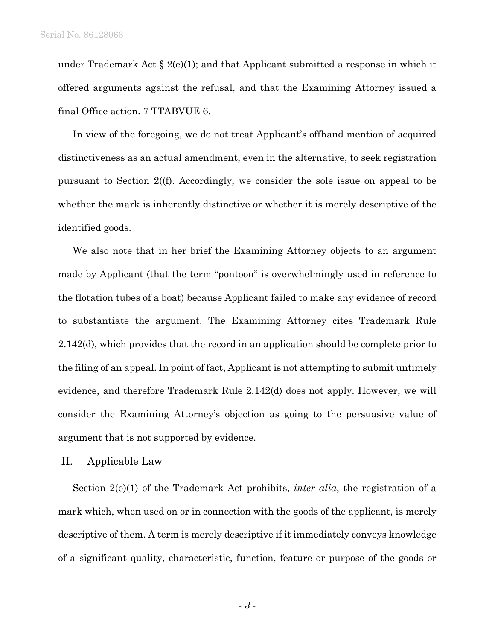under Trademark Act  $\S 2(e)(1)$ ; and that Applicant submitted a response in which it offered arguments against the refusal, and that the Examining Attorney issued a final Office action. 7 TTABVUE 6.

In view of the foregoing, we do not treat Applicant's offhand mention of acquired distinctiveness as an actual amendment, even in the alternative, to seek registration pursuant to Section 2((f). Accordingly, we consider the sole issue on appeal to be whether the mark is inherently distinctive or whether it is merely descriptive of the identified goods.

We also note that in her brief the Examining Attorney objects to an argument made by Applicant (that the term "pontoon" is overwhelmingly used in reference to the flotation tubes of a boat) because Applicant failed to make any evidence of record to substantiate the argument. The Examining Attorney cites Trademark Rule 2.142(d), which provides that the record in an application should be complete prior to the filing of an appeal. In point of fact, Applicant is not attempting to submit untimely evidence, and therefore Trademark Rule 2.142(d) does not apply. However, we will consider the Examining Attorney's objection as going to the persuasive value of argument that is not supported by evidence.

## II. Applicable Law

Section 2(e)(1) of the Trademark Act prohibits, *inter alia*, the registration of a mark which, when used on or in connection with the goods of the applicant, is merely descriptive of them. A term is merely descriptive if it immediately conveys knowledge of a significant quality, characteristic, function, feature or purpose of the goods or

- *3* -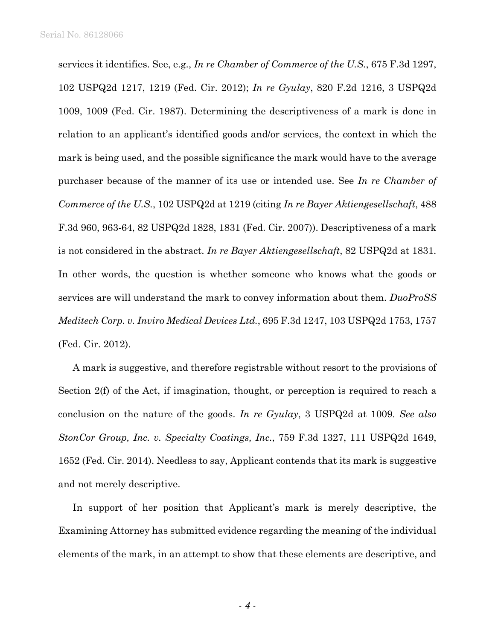services it identifies. See, e.g., *In re Chamber of Commerce of the U.S.*, 675 F.3d 1297, 102 USPQ2d 1217, 1219 (Fed. Cir. 2012); *In re Gyulay*, 820 F.2d 1216, 3 USPQ2d 1009, 1009 (Fed. Cir. 1987). Determining the descriptiveness of a mark is done in relation to an applicant's identified goods and/or services, the context in which the mark is being used, and the possible significance the mark would have to the average purchaser because of the manner of its use or intended use. See *In re Chamber of Commerce of the U.S.*, 102 USPQ2d at 1219 (citing *In re Bayer Aktiengesellschaft*, 488 F.3d 960, 963-64, 82 USPQ2d 1828, 1831 (Fed. Cir. 2007)). Descriptiveness of a mark is not considered in the abstract. *In re Bayer Aktiengesellschaft*, 82 USPQ2d at 1831. In other words, the question is whether someone who knows what the goods or services are will understand the mark to convey information about them. *DuoProSS Meditech Corp. v. Inviro Medical Devices Ltd.*, 695 F.3d 1247, 103 USPQ2d 1753, 1757 (Fed. Cir. 2012).

A mark is suggestive, and therefore registrable without resort to the provisions of Section 2(f) of the Act, if imagination, thought, or perception is required to reach a conclusion on the nature of the goods. *In re Gyulay*, 3 USPQ2d at 1009. *See also StonCor Group, Inc. v. Specialty Coatings, Inc.*, 759 F.3d 1327, 111 USPQ2d 1649, 1652 (Fed. Cir. 2014). Needless to say, Applicant contends that its mark is suggestive and not merely descriptive.

In support of her position that Applicant's mark is merely descriptive, the Examining Attorney has submitted evidence regarding the meaning of the individual elements of the mark, in an attempt to show that these elements are descriptive, and

- *4* -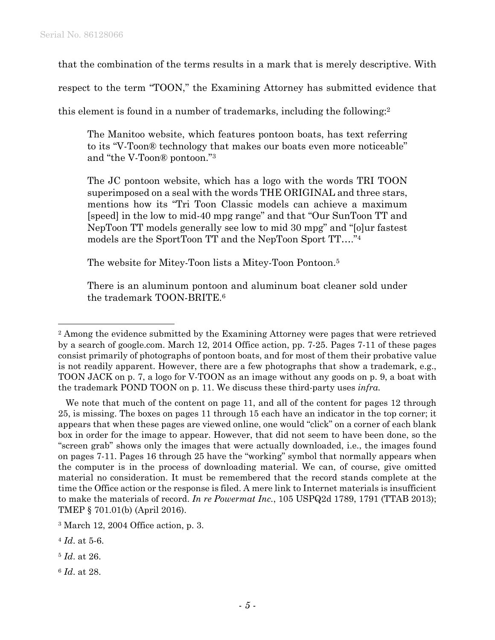that the combination of the terms results in a mark that is merely descriptive. With

respect to the term "TOON," the Examining Attorney has submitted evidence that

this element is found in a number of trademarks, including the following:2

The Manitoo website, which features pontoon boats, has text referring to its "V-Toon® technology that makes our boats even more noticeable" and "the V-Toon® pontoon."3

The JC pontoon website, which has a logo with the words TRI TOON superimposed on a seal with the words THE ORIGINAL and three stars, mentions how its "Tri Toon Classic models can achieve a maximum [speed] in the low to mid-40 mpg range" and that "Our SunToon TT and NepToon TT models generally see low to mid 30 mpg" and "[o]ur fastest models are the SportToon TT and the NepToon Sport TT…."4

The website for Mitey-Toon lists a Mitey-Toon Pontoon.5

There is an aluminum pontoon and aluminum boat cleaner sold under the trademark TOON-BRITE.6

1

<sup>&</sup>lt;sup>2</sup> Among the evidence submitted by the Examining Attorney were pages that were retrieved by a search of google.com. March 12, 2014 Office action, pp. 7-25. Pages 7-11 of these pages consist primarily of photographs of pontoon boats, and for most of them their probative value is not readily apparent. However, there are a few photographs that show a trademark, e.g., TOON JACK on p. 7, a logo for V-TOON as an image without any goods on p. 9, a boat with the trademark POND TOON on p. 11. We discuss these third-party uses *infra.*

We note that much of the content on page 11, and all of the content for pages 12 through 25, is missing. The boxes on pages 11 through 15 each have an indicator in the top corner; it appears that when these pages are viewed online, one would "click" on a corner of each blank box in order for the image to appear. However, that did not seem to have been done, so the "screen grab" shows only the images that were actually downloaded, i.e., the images found on pages 7-11. Pages 16 through 25 have the "working" symbol that normally appears when the computer is in the process of downloading material. We can, of course, give omitted material no consideration. It must be remembered that the record stands complete at the time the Office action or the response is filed. A mere link to Internet materials is insufficient to make the materials of record. *In re Powermat Inc.*, 105 USPQ2d 1789, 1791 (TTAB 2013); TMEP § 701.01(b) (April 2016).

<sup>3</sup> March 12, 2004 Office action, p. 3.

<sup>4</sup> *Id*. at 5-6.

<sup>5</sup> *Id*. at 26.

<sup>6</sup> *Id*. at 28.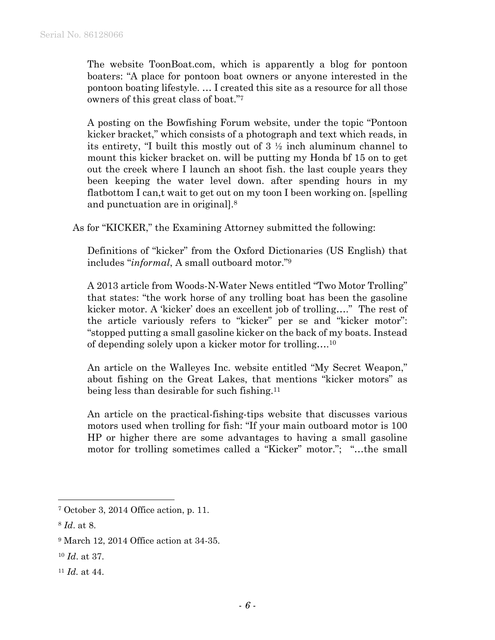The website ToonBoat.com, which is apparently a blog for pontoon boaters: "A place for pontoon boat owners or anyone interested in the pontoon boating lifestyle. … I created this site as a resource for all those owners of this great class of boat."7

A posting on the Bowfishing Forum website, under the topic "Pontoon kicker bracket," which consists of a photograph and text which reads, in its entirety, "I built this mostly out of 3 ½ inch aluminum channel to mount this kicker bracket on. will be putting my Honda bf 15 on to get out the creek where I launch an shoot fish. the last couple years they been keeping the water level down. after spending hours in my flatbottom I can,t wait to get out on my toon I been working on. [spelling and punctuation are in original].8

As for "KICKER," the Examining Attorney submitted the following:

Definitions of "kicker" from the Oxford Dictionaries (US English) that includes "*informal*, A small outboard motor."9

A 2013 article from Woods-N-Water News entitled "Two Motor Trolling" that states: "the work horse of any trolling boat has been the gasoline kicker motor. A 'kicker' does an excellent job of trolling…." The rest of the article variously refers to "kicker" per se and "kicker motor": "stopped putting a small gasoline kicker on the back of my boats. Instead of depending solely upon a kicker motor for trolling….10

An article on the Walleyes Inc. website entitled "My Secret Weapon," about fishing on the Great Lakes, that mentions "kicker motors" as being less than desirable for such fishing.11

An article on the practical-fishing-tips website that discusses various motors used when trolling for fish: "If your main outboard motor is 100 HP or higher there are some advantages to having a small gasoline motor for trolling sometimes called a "Kicker" motor."; "…the small

 $\overline{a}$ 

<sup>7</sup> October 3, 2014 Office action, p. 11.

<sup>8</sup> *Id*. at 8.

<sup>9</sup> March 12, 2014 Office action at 34-35.

<sup>10</sup> *Id*. at 37.

<sup>11</sup> *Id.* at 44.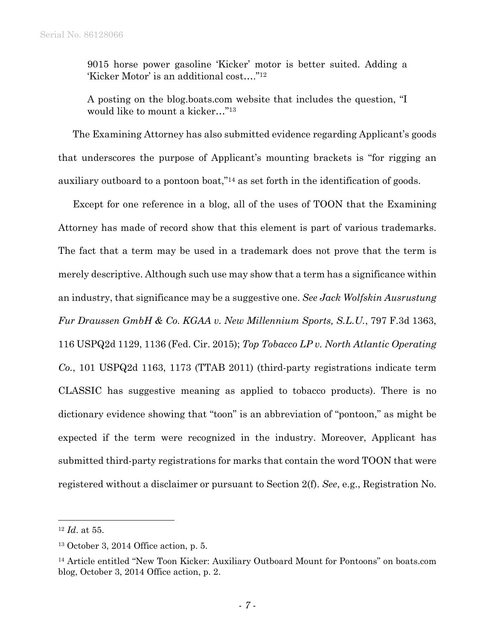9015 horse power gasoline 'Kicker' motor is better suited. Adding a 'Kicker Motor' is an additional cost…."12

A posting on the blog.boats.com website that includes the question, "I would like to mount a kicker…"13

The Examining Attorney has also submitted evidence regarding Applicant's goods that underscores the purpose of Applicant's mounting brackets is "for rigging an auxiliary outboard to a pontoon boat,"14 as set forth in the identification of goods.

Except for one reference in a blog, all of the uses of TOON that the Examining Attorney has made of record show that this element is part of various trademarks. The fact that a term may be used in a trademark does not prove that the term is merely descriptive. Although such use may show that a term has a significance within an industry, that significance may be a suggestive one. *See Jack Wolfskin Ausrustung Fur Draussen GmbH & Co. KGAA v. New Millennium Sports, S.L.U.*, 797 F.3d 1363, 116 USPQ2d 1129, 1136 (Fed. Cir. 2015); *Top Tobacco LP v. North Atlantic Operating Co.*, 101 USPQ2d 1163, 1173 (TTAB 2011) (third-party registrations indicate term CLASSIC has suggestive meaning as applied to tobacco products). There is no dictionary evidence showing that "toon" is an abbreviation of "pontoon," as might be expected if the term were recognized in the industry. Moreover, Applicant has submitted third-party registrations for marks that contain the word TOON that were registered without a disclaimer or pursuant to Section 2(f). *See*, e.g., Registration No.

 $\overline{a}$ 

<sup>12</sup> *Id*. at 55.

<sup>13</sup> October 3, 2014 Office action, p. 5.

<sup>14</sup> Article entitled "New Toon Kicker: Auxiliary Outboard Mount for Pontoons" on boats.com blog, October 3, 2014 Office action, p. 2.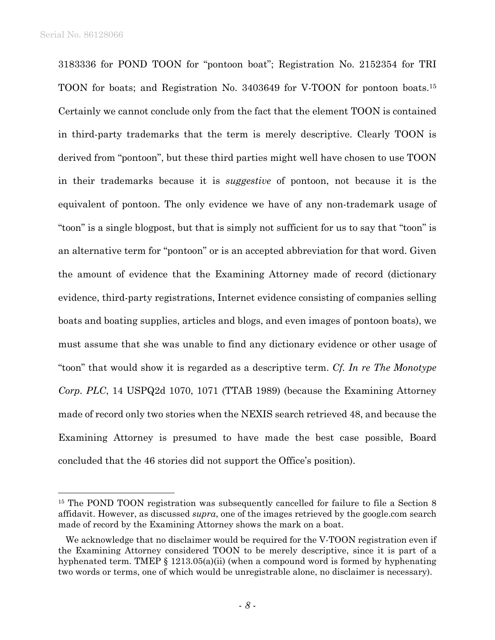l

3183336 for POND TOON for "pontoon boat"; Registration No. 2152354 for TRI TOON for boats; and Registration No. 3403649 for V-TOON for pontoon boats.15 Certainly we cannot conclude only from the fact that the element TOON is contained in third-party trademarks that the term is merely descriptive. Clearly TOON is derived from "pontoon", but these third parties might well have chosen to use TOON in their trademarks because it is *suggestive* of pontoon, not because it is the equivalent of pontoon. The only evidence we have of any non-trademark usage of "toon" is a single blogpost, but that is simply not sufficient for us to say that "toon" is an alternative term for "pontoon" or is an accepted abbreviation for that word. Given the amount of evidence that the Examining Attorney made of record (dictionary evidence, third-party registrations, Internet evidence consisting of companies selling boats and boating supplies, articles and blogs, and even images of pontoon boats), we must assume that she was unable to find any dictionary evidence or other usage of "toon" that would show it is regarded as a descriptive term. *Cf. In re The Monotype Corp. PLC*, 14 USPQ2d 1070, 1071 (TTAB 1989) (because the Examining Attorney made of record only two stories when the NEXIS search retrieved 48, and because the Examining Attorney is presumed to have made the best case possible, Board concluded that the 46 stories did not support the Office's position).

<sup>&</sup>lt;sup>15</sup> The POND TOON registration was subsequently cancelled for failure to file a Section 8 affidavit. However, as discussed *supra*, one of the images retrieved by the google.com search made of record by the Examining Attorney shows the mark on a boat.

We acknowledge that no disclaimer would be required for the V-TOON registration even if the Examining Attorney considered TOON to be merely descriptive, since it is part of a hyphenated term. TMEP  $\S$  1213.05(a)(ii) (when a compound word is formed by hyphenating two words or terms, one of which would be unregistrable alone, no disclaimer is necessary).